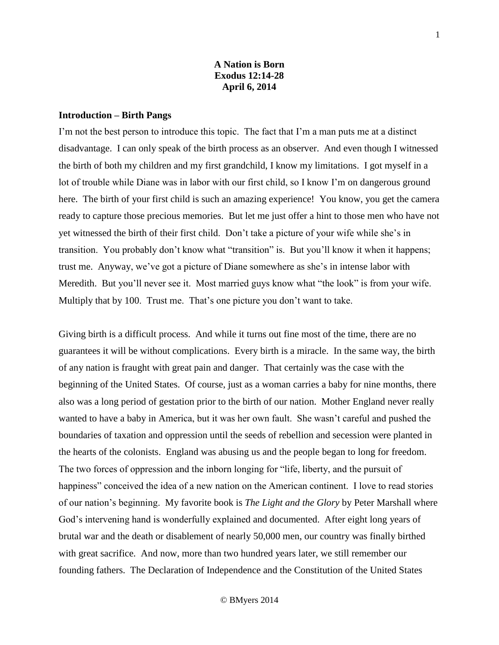### **A Nation is Born Exodus 12:14-28 April 6, 2014**

#### **Introduction – Birth Pangs**

I'm not the best person to introduce this topic. The fact that I'm a man puts me at a distinct disadvantage. I can only speak of the birth process as an observer. And even though I witnessed the birth of both my children and my first grandchild, I know my limitations. I got myself in a lot of trouble while Diane was in labor with our first child, so I know I'm on dangerous ground here. The birth of your first child is such an amazing experience! You know, you get the camera ready to capture those precious memories. But let me just offer a hint to those men who have not yet witnessed the birth of their first child. Don't take a picture of your wife while she's in transition. You probably don't know what "transition" is. But you'll know it when it happens; trust me. Anyway, we've got a picture of Diane somewhere as she's in intense labor with Meredith. But you'll never see it. Most married guys know what "the look" is from your wife. Multiply that by 100. Trust me. That's one picture you don't want to take.

Giving birth is a difficult process. And while it turns out fine most of the time, there are no guarantees it will be without complications. Every birth is a miracle. In the same way, the birth of any nation is fraught with great pain and danger. That certainly was the case with the beginning of the United States. Of course, just as a woman carries a baby for nine months, there also was a long period of gestation prior to the birth of our nation. Mother England never really wanted to have a baby in America, but it was her own fault. She wasn't careful and pushed the boundaries of taxation and oppression until the seeds of rebellion and secession were planted in the hearts of the colonists. England was abusing us and the people began to long for freedom. The two forces of oppression and the inborn longing for "life, liberty, and the pursuit of happiness" conceived the idea of a new nation on the American continent. I love to read stories of our nation's beginning. My favorite book is *The Light and the Glory* by Peter Marshall where God's intervening hand is wonderfully explained and documented. After eight long years of brutal war and the death or disablement of nearly 50,000 men, our country was finally birthed with great sacrifice. And now, more than two hundred years later, we still remember our founding fathers. The Declaration of Independence and the Constitution of the United States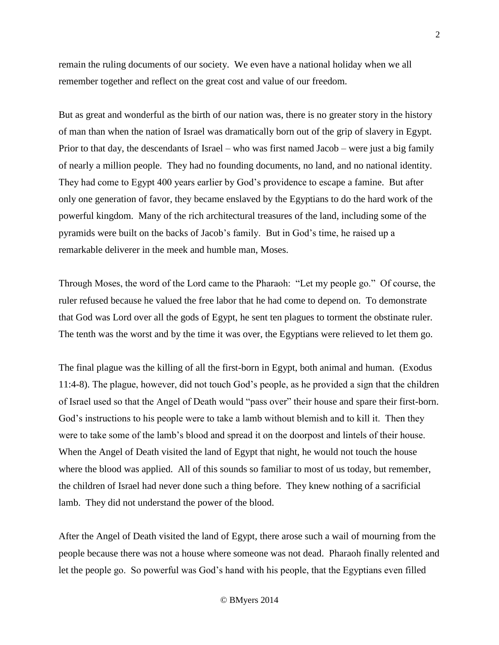remain the ruling documents of our society. We even have a national holiday when we all remember together and reflect on the great cost and value of our freedom.

But as great and wonderful as the birth of our nation was, there is no greater story in the history of man than when the nation of Israel was dramatically born out of the grip of slavery in Egypt. Prior to that day, the descendants of Israel – who was first named Jacob – were just a big family of nearly a million people. They had no founding documents, no land, and no national identity. They had come to Egypt 400 years earlier by God's providence to escape a famine. But after only one generation of favor, they became enslaved by the Egyptians to do the hard work of the powerful kingdom. Many of the rich architectural treasures of the land, including some of the pyramids were built on the backs of Jacob's family. But in God's time, he raised up a remarkable deliverer in the meek and humble man, Moses.

Through Moses, the word of the Lord came to the Pharaoh: "Let my people go." Of course, the ruler refused because he valued the free labor that he had come to depend on. To demonstrate that God was Lord over all the gods of Egypt, he sent ten plagues to torment the obstinate ruler. The tenth was the worst and by the time it was over, the Egyptians were relieved to let them go.

The final plague was the killing of all the first-born in Egypt, both animal and human. (Exodus 11:4-8). The plague, however, did not touch God's people, as he provided a sign that the children of Israel used so that the Angel of Death would "pass over" their house and spare their first-born. God's instructions to his people were to take a lamb without blemish and to kill it. Then they were to take some of the lamb's blood and spread it on the doorpost and lintels of their house. When the Angel of Death visited the land of Egypt that night, he would not touch the house where the blood was applied. All of this sounds so familiar to most of us today, but remember, the children of Israel had never done such a thing before. They knew nothing of a sacrificial lamb. They did not understand the power of the blood.

After the Angel of Death visited the land of Egypt, there arose such a wail of mourning from the people because there was not a house where someone was not dead. Pharaoh finally relented and let the people go. So powerful was God's hand with his people, that the Egyptians even filled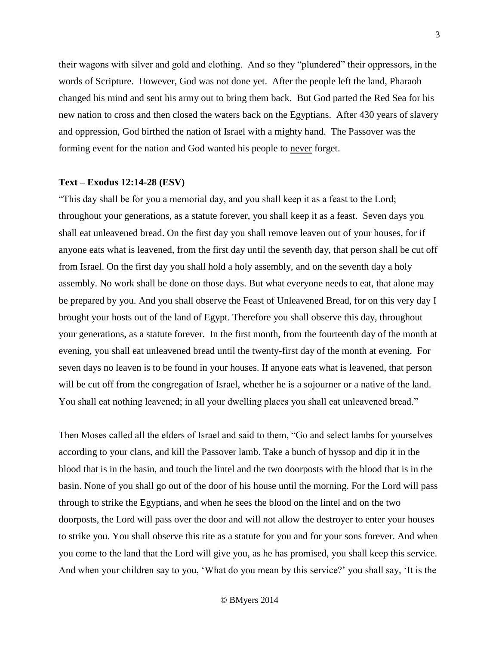their wagons with silver and gold and clothing. And so they "plundered" their oppressors, in the words of Scripture. However, God was not done yet. After the people left the land, Pharaoh changed his mind and sent his army out to bring them back. But God parted the Red Sea for his new nation to cross and then closed the waters back on the Egyptians. After 430 years of slavery and oppression, God birthed the nation of Israel with a mighty hand. The Passover was the forming event for the nation and God wanted his people to never forget.

#### **Text – Exodus 12:14-28 (ESV)**

"This day shall be for you a memorial day, and you shall keep it as a feast to the Lord; throughout your generations, as a statute forever, you shall keep it as a feast. Seven days you shall eat unleavened bread. On the first day you shall remove leaven out of your houses, for if anyone eats what is leavened, from the first day until the seventh day, that person shall be cut off from Israel. On the first day you shall hold a holy assembly, and on the seventh day a holy assembly. No work shall be done on those days. But what everyone needs to eat, that alone may be prepared by you. And you shall observe the Feast of Unleavened Bread, for on this very day I brought your hosts out of the land of Egypt. Therefore you shall observe this day, throughout your generations, as a statute forever. In the first month, from the fourteenth day of the month at evening, you shall eat unleavened bread until the twenty-first day of the month at evening. For seven days no leaven is to be found in your houses. If anyone eats what is leavened, that person will be cut off from the congregation of Israel, whether he is a sojourner or a native of the land. You shall eat nothing leavened; in all your dwelling places you shall eat unleavened bread."

Then Moses called all the elders of Israel and said to them, "Go and select lambs for yourselves according to your clans, and kill the Passover lamb. Take a bunch of hyssop and dip it in the blood that is in the basin, and touch the lintel and the two doorposts with the blood that is in the basin. None of you shall go out of the door of his house until the morning. For the Lord will pass through to strike the Egyptians, and when he sees the blood on the lintel and on the two doorposts, the Lord will pass over the door and will not allow the destroyer to enter your houses to strike you. You shall observe this rite as a statute for you and for your sons forever. And when you come to the land that the Lord will give you, as he has promised, you shall keep this service. And when your children say to you, 'What do you mean by this service?' you shall say, 'It is the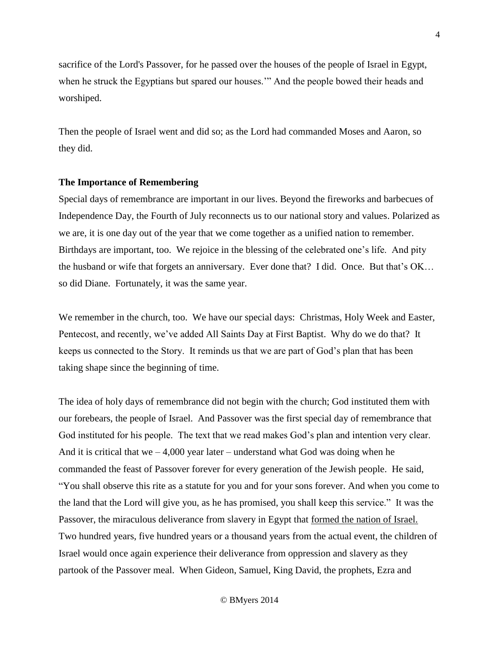sacrifice of the Lord's Passover, for he passed over the houses of the people of Israel in Egypt, when he struck the Egyptians but spared our houses.'" And the people bowed their heads and worshiped.

Then the people of Israel went and did so; as the Lord had commanded Moses and Aaron, so they did.

#### **The Importance of Remembering**

Special days of remembrance are important in our lives. Beyond the fireworks and barbecues of Independence Day, the Fourth of July reconnects us to our national story and values. Polarized as we are, it is one day out of the year that we come together as a unified nation to remember. Birthdays are important, too. We rejoice in the blessing of the celebrated one's life. And pity the husband or wife that forgets an anniversary. Ever done that? I did. Once. But that's OK… so did Diane. Fortunately, it was the same year.

We remember in the church, too. We have our special days: Christmas, Holy Week and Easter, Pentecost, and recently, we've added All Saints Day at First Baptist. Why do we do that? It keeps us connected to the Story. It reminds us that we are part of God's plan that has been taking shape since the beginning of time.

The idea of holy days of remembrance did not begin with the church; God instituted them with our forebears, the people of Israel. And Passover was the first special day of remembrance that God instituted for his people. The text that we read makes God's plan and intention very clear. And it is critical that we  $-4,000$  year later – understand what God was doing when he commanded the feast of Passover forever for every generation of the Jewish people. He said, "You shall observe this rite as a statute for you and for your sons forever. And when you come to the land that the Lord will give you, as he has promised, you shall keep this service." It was the Passover, the miraculous deliverance from slavery in Egypt that <u>formed the nation of Israel.</u> Two hundred years, five hundred years or a thousand years from the actual event, the children of Israel would once again experience their deliverance from oppression and slavery as they partook of the Passover meal. When Gideon, Samuel, King David, the prophets, Ezra and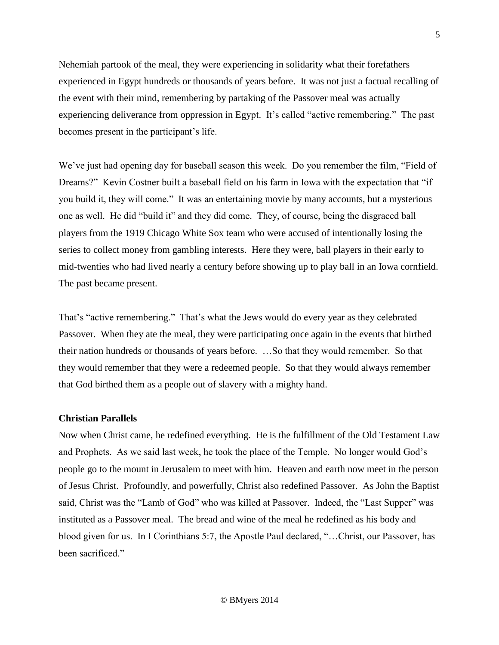Nehemiah partook of the meal, they were experiencing in solidarity what their forefathers experienced in Egypt hundreds or thousands of years before. It was not just a factual recalling of the event with their mind, remembering by partaking of the Passover meal was actually experiencing deliverance from oppression in Egypt. It's called "active remembering." The past becomes present in the participant's life.

We've just had opening day for baseball season this week. Do you remember the film, "Field of Dreams?" Kevin Costner built a baseball field on his farm in Iowa with the expectation that "if you build it, they will come." It was an entertaining movie by many accounts, but a mysterious one as well. He did "build it" and they did come. They, of course, being the disgraced ball players from the 1919 Chicago White Sox team who were accused of intentionally losing the series to collect money from gambling interests. Here they were, ball players in their early to mid-twenties who had lived nearly a century before showing up to play ball in an Iowa cornfield. The past became present.

That's "active remembering." That's what the Jews would do every year as they celebrated Passover. When they ate the meal, they were participating once again in the events that birthed their nation hundreds or thousands of years before. …So that they would remember. So that they would remember that they were a redeemed people. So that they would always remember that God birthed them as a people out of slavery with a mighty hand.

# **Christian Parallels**

Now when Christ came, he redefined everything. He is the fulfillment of the Old Testament Law and Prophets. As we said last week, he took the place of the Temple. No longer would God's people go to the mount in Jerusalem to meet with him. Heaven and earth now meet in the person of Jesus Christ. Profoundly, and powerfully, Christ also redefined Passover. As John the Baptist said, Christ was the "Lamb of God" who was killed at Passover. Indeed, the "Last Supper" was instituted as a Passover meal. The bread and wine of the meal he redefined as his body and blood given for us. In I Corinthians 5:7, the Apostle Paul declared, "…Christ, our Passover, has been sacrificed."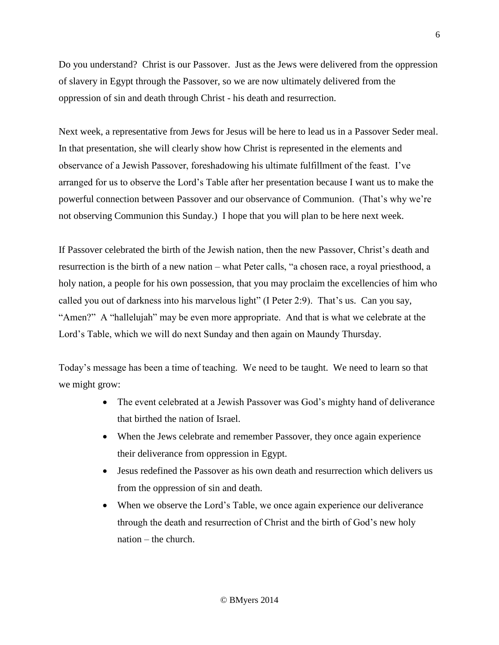Do you understand? Christ is our Passover. Just as the Jews were delivered from the oppression of slavery in Egypt through the Passover, so we are now ultimately delivered from the oppression of sin and death through Christ - his death and resurrection.

Next week, a representative from Jews for Jesus will be here to lead us in a Passover Seder meal. In that presentation, she will clearly show how Christ is represented in the elements and observance of a Jewish Passover, foreshadowing his ultimate fulfillment of the feast. I've arranged for us to observe the Lord's Table after her presentation because I want us to make the powerful connection between Passover and our observance of Communion. (That's why we're not observing Communion this Sunday.) I hope that you will plan to be here next week.

If Passover celebrated the birth of the Jewish nation, then the new Passover, Christ's death and resurrection is the birth of a new nation – what Peter calls, "a chosen race, a royal priesthood, a holy nation, a people for his own possession, that you may proclaim the excellencies of him who called you out of darkness into his marvelous light" (I Peter 2:9). That's us. Can you say, "Amen?" A "hallelujah" may be even more appropriate. And that is what we celebrate at the Lord's Table, which we will do next Sunday and then again on Maundy Thursday.

Today's message has been a time of teaching. We need to be taught. We need to learn so that we might grow:

- The event celebrated at a Jewish Passover was God's mighty hand of deliverance that birthed the nation of Israel.
- When the Jews celebrate and remember Passover, they once again experience their deliverance from oppression in Egypt.
- Jesus redefined the Passover as his own death and resurrection which delivers us from the oppression of sin and death.
- When we observe the Lord's Table, we once again experience our deliverance through the death and resurrection of Christ and the birth of God's new holy nation – the church.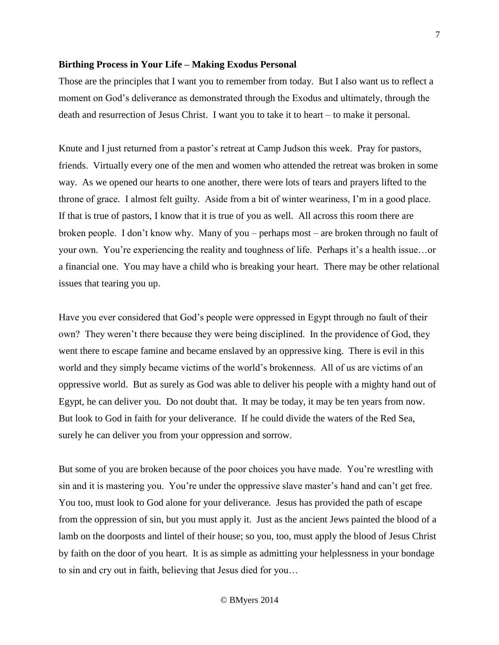### **Birthing Process in Your Life – Making Exodus Personal**

Those are the principles that I want you to remember from today. But I also want us to reflect a moment on God's deliverance as demonstrated through the Exodus and ultimately, through the death and resurrection of Jesus Christ. I want you to take it to heart – to make it personal.

Knute and I just returned from a pastor's retreat at Camp Judson this week. Pray for pastors, friends. Virtually every one of the men and women who attended the retreat was broken in some way. As we opened our hearts to one another, there were lots of tears and prayers lifted to the throne of grace. I almost felt guilty. Aside from a bit of winter weariness, I'm in a good place. If that is true of pastors, I know that it is true of you as well. All across this room there are broken people. I don't know why. Many of you – perhaps most – are broken through no fault of your own. You're experiencing the reality and toughness of life. Perhaps it's a health issue…or a financial one. You may have a child who is breaking your heart. There may be other relational issues that tearing you up.

Have you ever considered that God's people were oppressed in Egypt through no fault of their own? They weren't there because they were being disciplined. In the providence of God, they went there to escape famine and became enslaved by an oppressive king. There is evil in this world and they simply became victims of the world's brokenness. All of us are victims of an oppressive world. But as surely as God was able to deliver his people with a mighty hand out of Egypt, he can deliver you. Do not doubt that. It may be today, it may be ten years from now. But look to God in faith for your deliverance. If he could divide the waters of the Red Sea, surely he can deliver you from your oppression and sorrow.

But some of you are broken because of the poor choices you have made. You're wrestling with sin and it is mastering you. You're under the oppressive slave master's hand and can't get free. You too, must look to God alone for your deliverance. Jesus has provided the path of escape from the oppression of sin, but you must apply it. Just as the ancient Jews painted the blood of a lamb on the doorposts and lintel of their house; so you, too, must apply the blood of Jesus Christ by faith on the door of you heart. It is as simple as admitting your helplessness in your bondage to sin and cry out in faith, believing that Jesus died for you…